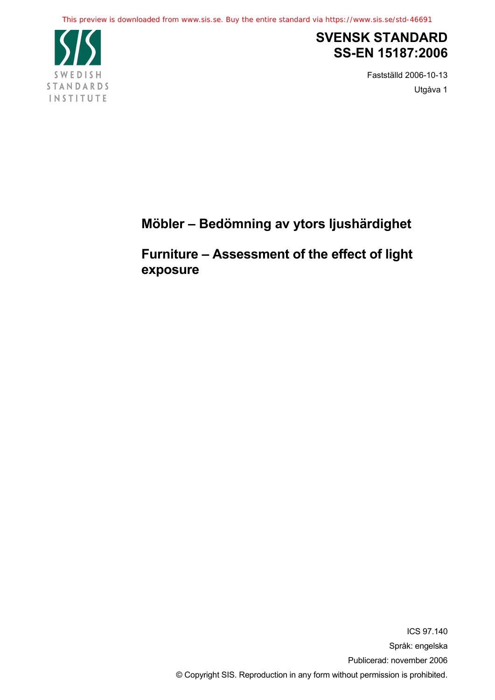

# **SVENSK STANDARD SS-EN 15187:2006**

Fastställd 2006-10-13 Utgåva 1

# **Möbler – Bedömning av ytors ljushärdighet**

**Furniture – Assessment of the effect of light exposure**

> ICS 97.140 Språk: engelska Publicerad: november 2006 © Copyright SIS. Reproduction in any form without permission is prohibited.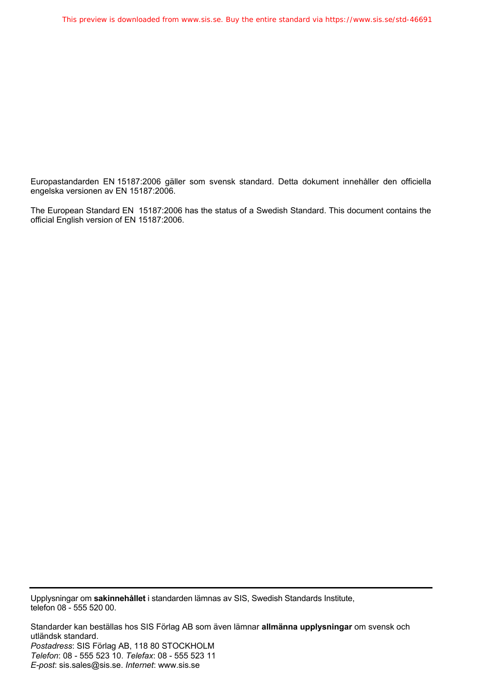Europastandarden EN 15187:2006 gäller som svensk standard. Detta dokument innehåller den officiella engelska versionen av EN 15187:2006.

The European Standard EN 15187:2006 has the status of a Swedish Standard. This document contains the official English version of EN 15187:2006.

Upplysningar om **sakinnehållet** i standarden lämnas av SIS, Swedish Standards Institute, telefon 08 - 555 520 00.

Standarder kan beställas hos SIS Förlag AB som även lämnar **allmänna upplysningar** om svensk och utländsk standard. *Postadress*: SIS Förlag AB, 118 80 STOCKHOLM *Telefon*: 08 - 555 523 10. *Telefax*: 08 - 555 523 11 *E-post*: sis.sales@sis.se. *Internet*: www.sis.se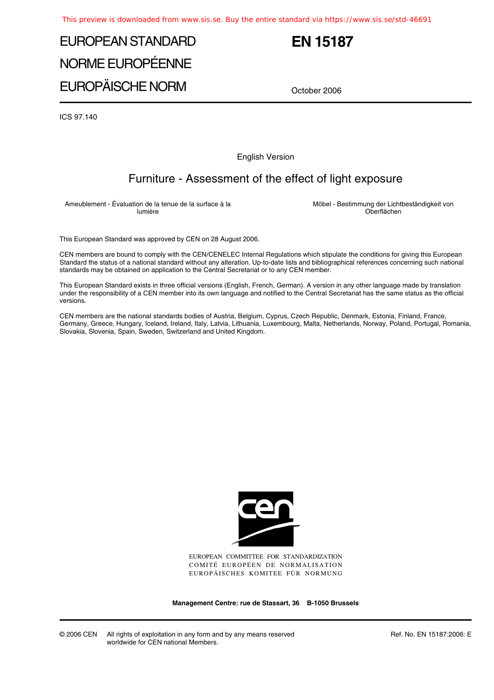# EUROPEAN STANDARD NORME EUROPÉENNE EUROPÄISCHE NORM

## **EN 15187**

October 2006

ICS 97.140

English Version

### Furniture - Assessment of the effect of light exposure

Ameublement - Évaluation de la tenue de la surface à la lumière

Möbel - Bestimmung der Lichtbeständigkeit von Oberflächen

This European Standard was approved by CEN on 28 August 2006.

CEN members are bound to comply with the CEN/CENELEC Internal Regulations which stipulate the conditions for giving this European Standard the status of a national standard without any alteration. Up-to-date lists and bibliographical references concerning such national standards may be obtained on application to the Central Secretariat or to any CEN member.

This European Standard exists in three official versions (English, French, German). A version in any other language made by translation under the responsibility of a CEN member into its own language and notified to the Central Secretariat has the same status as the official versions.

CEN members are the national standards bodies of Austria, Belgium, Cyprus, Czech Republic, Denmark, Estonia, Finland, France, Germany, Greece, Hungary, Iceland, Ireland, Italy, Latvia, Lithuania, Luxembourg, Malta, Netherlands, Norway, Poland, Portugal, Romania, Slovakia, Slovenia, Spain, Sweden, Switzerland and United Kingdom.



EUROPEAN COMMITTEE FOR STANDARDIZATION COMITÉ EUROPÉEN DE NORMALISATION EUROPÄISCHES KOMITEE FÜR NORMUNG

**Management Centre: rue de Stassart, 36 B-1050 Brussels**

© 2006 CEN All rights of exploitation in any form and by any means reserved worldwide for CEN national Members.

Ref. No. EN 15187:2006: E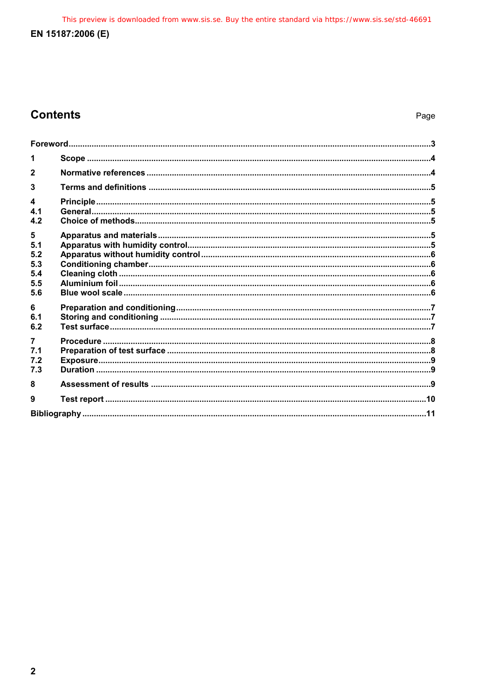This preview is downloaded from www.sis.se. Buy the entire standard via https://www.sis.se/std-46691

#### EN 15187:2006 (E)

### **Contents**

| $\mathbf{2}$                   |  |  |
|--------------------------------|--|--|
|                                |  |  |
| $\blacktriangle$<br>4.1<br>4.2 |  |  |
| 5                              |  |  |
| 5.1<br>5.2                     |  |  |
| 5.3                            |  |  |
| 5.4<br>5.5                     |  |  |
| 5.6                            |  |  |
| 6                              |  |  |
| 6.1<br>6.2                     |  |  |
| 7.1<br>7.2                     |  |  |
| 7.3                            |  |  |
| 8                              |  |  |
| 9                              |  |  |
|                                |  |  |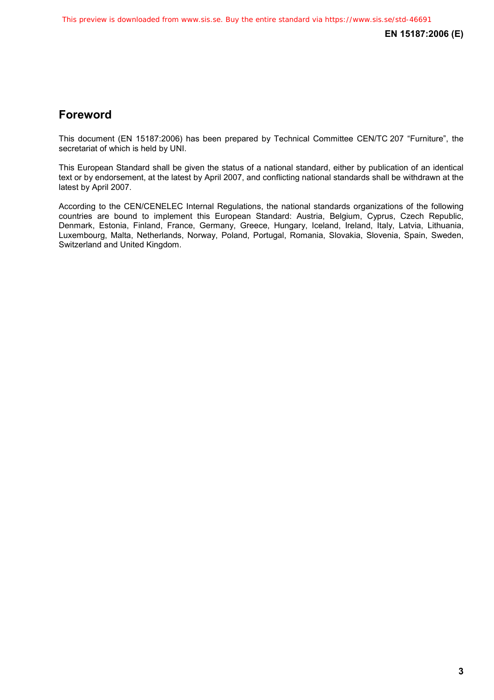**EN 15187:2006 (E)** 

### **Foreword**

This document (EN 15187:2006) has been prepared by Technical Committee CEN/TC 207 "Furniture", the secretariat of which is held by UNI.

This European Standard shall be given the status of a national standard, either by publication of an identical text or by endorsement, at the latest by April 2007, and conflicting national standards shall be withdrawn at the latest by April 2007.

According to the CEN/CENELEC Internal Regulations, the national standards organizations of the following countries are bound to implement this European Standard: Austria, Belgium, Cyprus, Czech Republic, Denmark, Estonia, Finland, France, Germany, Greece, Hungary, Iceland, Ireland, Italy, Latvia, Lithuania, Luxembourg, Malta, Netherlands, Norway, Poland, Portugal, Romania, Slovakia, Slovenia, Spain, Sweden, Switzerland and United Kingdom.